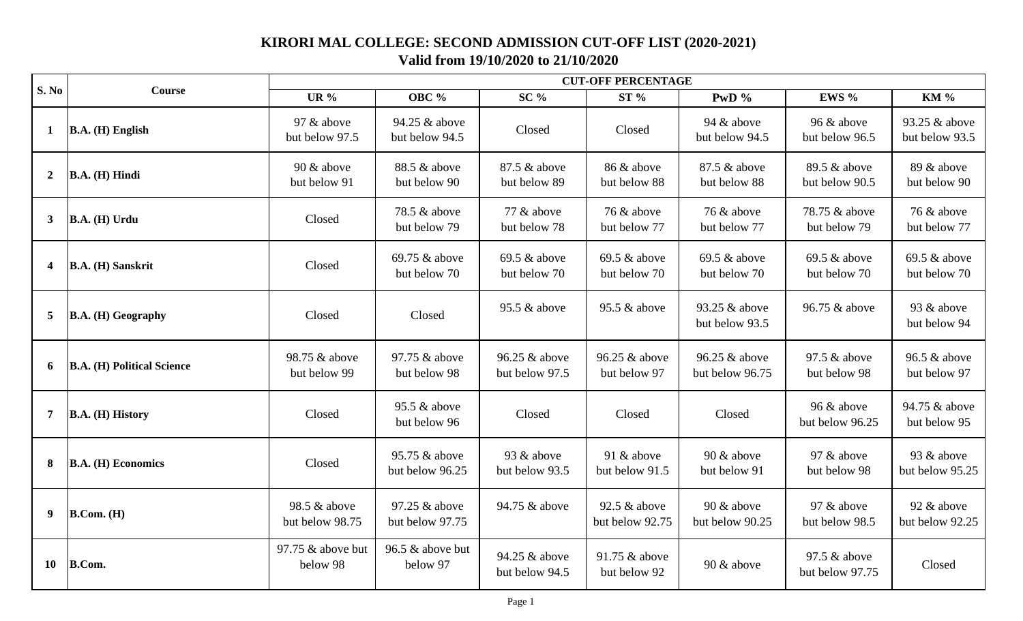## **KIRORI MAL COLLEGE: SECOND ADMISSION CUT-OFF LIST (2020-2021) Valid from 19/10/2020 to 21/10/2020**

| S. No          | <b>Course</b>                     | <b>CUT-OFF PERCENTAGE</b>       |                                  |                                 |                                 |                                  |                                 |                                 |  |
|----------------|-----------------------------------|---------------------------------|----------------------------------|---------------------------------|---------------------------------|----------------------------------|---------------------------------|---------------------------------|--|
|                |                                   | <b>UR</b> %                     | <b>OBC</b> %                     | $SC\%$                          | ST%                             | PwD %                            | EWS %                           | <b>KM %</b>                     |  |
| $\mathbf{1}$   | $B.A. (H)$ English                | 97 & above<br>but below 97.5    | 94.25 & above<br>but below 94.5  | Closed                          | Closed                          | 94 & above<br>but below 94.5     | 96 & above<br>but below 96.5    | 93.25 & above<br>but below 93.5 |  |
| $\overline{2}$ | B.A. (H) Hindi                    | $90 \&$ above<br>but below 91   | 88.5 & above<br>but below 90     | 87.5 & above<br>but below 89    | 86 & above<br>but below 88      | 87.5 & above<br>but below 88     | 89.5 & above<br>but below 90.5  | 89 & above<br>but below 90      |  |
| $\mathbf{3}$   | B.A. (H) Urdu                     | Closed                          | 78.5 & above<br>but below 79     | 77 & above<br>but below 78      | 76 & above<br>but below 77      | 76 & above<br>but below 77       | 78.75 & above<br>but below 79   | 76 & above<br>but below 77      |  |
| 4              | B.A. (H) Sanskrit                 | Closed                          | 69.75 & above<br>but below 70    | $69.5 \&$ above<br>but below 70 | 69.5 & above<br>but below 70    | $69.5 \&$ above<br>but below 70  | 69.5 & above<br>but below 70    | $69.5 \&$ above<br>but below 70 |  |
| 5              | B.A. (H) Geography                | Closed                          | Closed                           | 95.5 & above                    | 95.5 & above                    | 93.25 & above<br>but below 93.5  | 96.75 & above                   | 93 & above<br>but below 94      |  |
| 6              | <b>B.A. (H) Political Science</b> | 98.75 & above<br>but below 99   | 97.75 & above<br>but below 98    | 96.25 & above<br>but below 97.5 | 96.25 & above<br>but below 97   | 96.25 & above<br>but below 96.75 | 97.5 & above<br>but below 98    | 96.5 & above<br>but below 97    |  |
| 7              | B.A. (H) History                  | Closed                          | 95.5 & above<br>but below 96     | Closed                          | Closed                          | Closed                           | 96 & above<br>but below 96.25   | 94.75 & above<br>but below 95   |  |
| 8              | <b>B.A.</b> (H) Economics         | Closed                          | 95.75 & above<br>but below 96.25 | 93 & above<br>but below 93.5    | 91 & above<br>but below 91.5    | 90 & above<br>but below 91       | 97 & above<br>but below 98      | 93 & above<br>but below 95.25   |  |
| 9              | B. Com. (H)                       | 98.5 & above<br>but below 98.75 | 97.25 & above<br>but below 97.75 | 94.75 & above                   | 92.5 & above<br>but below 92.75 | 90 & above<br>but below 90.25    | 97 & above<br>but below 98.5    | 92 & above<br>but below 92.25   |  |
| <b>10</b>      | <b>B.Com.</b>                     | 97.75 & above but<br>below 98   | 96.5 & above but<br>below 97     | 94.25 & above<br>but below 94.5 | 91.75 & above<br>but below 92   | 90 & above                       | 97.5 & above<br>but below 97.75 | Closed                          |  |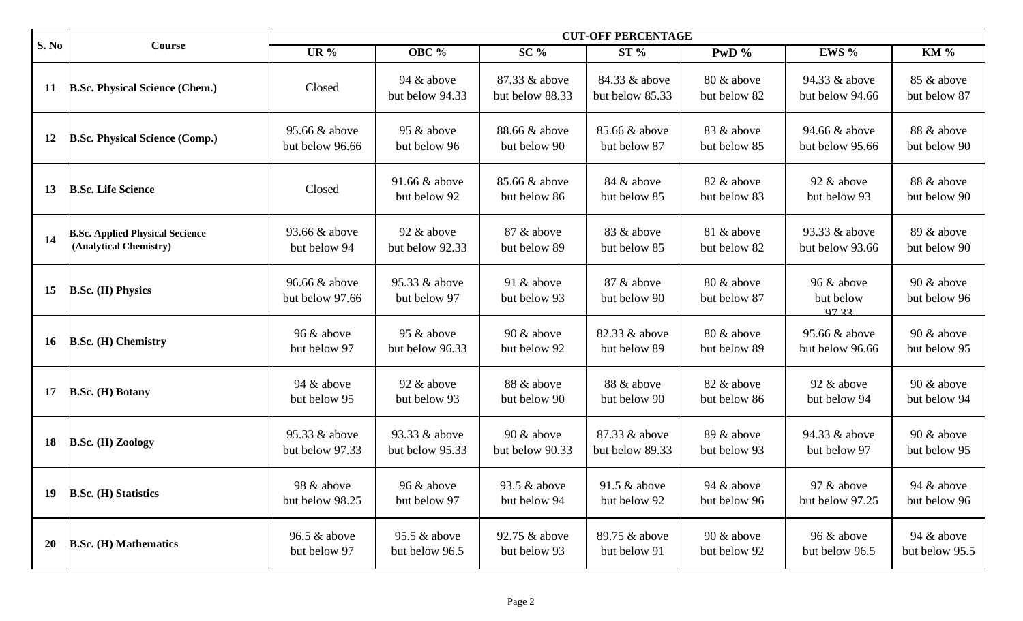| <b>S. No</b> | Course                                                           | <b>CUT-OFF PERCENTAGE</b>        |                                  |                                  |                                  |                            |                                  |                              |
|--------------|------------------------------------------------------------------|----------------------------------|----------------------------------|----------------------------------|----------------------------------|----------------------------|----------------------------------|------------------------------|
|              |                                                                  | <b>UR</b> %                      | <b>OBC</b> %                     | $SC\%$                           | ST%                              | PwD $\%$                   | EWS %                            | <b>KM %</b>                  |
| 11           | <b>B.Sc. Physical Science (Chem.)</b>                            | Closed                           | 94 $\&$ above<br>but below 94.33 | 87.33 & above<br>but below 88.33 | 84.33 & above<br>but below 85.33 | 80 & above<br>but below 82 | 94.33 & above<br>but below 94.66 | 85 & above<br>but below 87   |
| <b>12</b>    | <b>B.Sc. Physical Science (Comp.)</b>                            | 95.66 & above<br>but below 96.66 | 95 & above<br>but below 96       | 88.66 & above<br>but below 90    | 85.66 & above<br>but below 87    | 83 & above<br>but below 85 | 94.66 & above<br>but below 95.66 | 88 & above<br>but below 90   |
| 13           | <b>B.Sc. Life Science</b>                                        | Closed                           | 91.66 & above<br>but below 92    | 85.66 & above<br>but below 86    | 84 & above<br>but below 85       | 82 & above<br>but below 83 | 92 & above<br>but below 93       | 88 & above<br>but below 90   |
| 14           | <b>B.Sc. Applied Physical Secience</b><br>(Analytical Chemistry) | 93.66 & above<br>but below 94    | 92 & above<br>but below 92.33    | 87 & above<br>but below 89       | 83 & above<br>but below 85       | 81 & above<br>but below 82 | 93.33 & above<br>but below 93.66 | 89 & above<br>but below 90   |
| 15           | <b>B.Sc. (H) Physics</b>                                         | 96.66 & above<br>but below 97.66 | 95.33 & above<br>but below 97    | 91 $\&$ above<br>but below 93    | 87 & above<br>but below 90       | 80 & above<br>but below 87 | 96 & above<br>but below<br>97.33 | 90 & above<br>but below 96   |
| <b>16</b>    | <b>B.Sc. (H) Chemistry</b>                                       | 96 & above<br>but below 97       | 95 & above<br>but below 96.33    | $90 \&$ above<br>but below 92    | 82.33 & above<br>but below 89    | 80 & above<br>but below 89 | 95.66 & above<br>but below 96.66 | 90 & above<br>but below 95   |
| 17           | <b>B.Sc. (H) Botany</b>                                          | 94 $\&$ above<br>but below 95    | 92 & above<br>but below 93       | 88 & above<br>but below 90       | 88 & above<br>but below 90       | 82 & above<br>but below 86 | 92 & above<br>but below 94       | 90 & above<br>but below 94   |
| 18           | <b>B.Sc. (H) Zoology</b>                                         | 95.33 & above<br>but below 97.33 | 93.33 & above<br>but below 95.33 | $90 \&$ above<br>but below 90.33 | 87.33 & above<br>but below 89.33 | 89 & above<br>but below 93 | 94.33 & above<br>but below 97    | 90 & above<br>but below 95   |
| 19           | <b>B.Sc. (H) Statistics</b>                                      | 98 & above<br>but below 98.25    | 96 & above<br>but below 97       | 93.5 & above<br>but below 94     | $91.5 \&$ above<br>but below 92  | 94 & above<br>but below 96 | 97 & above<br>but below 97.25    | 94 & above<br>but below 96   |
| <b>20</b>    | <b>B.Sc. (H) Mathematics</b>                                     | 96.5 $&$ above<br>but below 97   | 95.5 $&$ above<br>but below 96.5 | 92.75 & above<br>but below 93    | 89.75 & above<br>but below 91    | 90 & above<br>but below 92 | 96 & above<br>but below 96.5     | 94 & above<br>but below 95.5 |